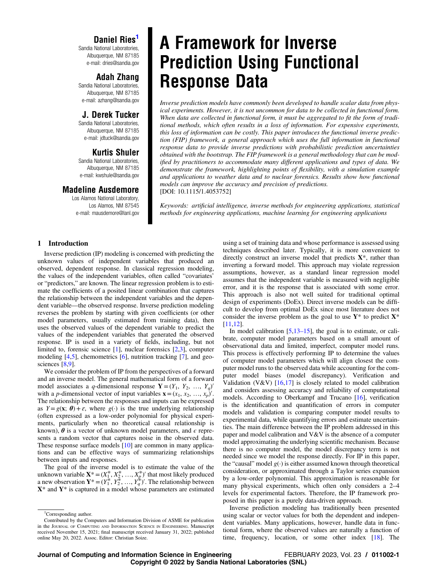# Daniel Ries

Sandia National Laboratories, Albuquerque, NM 87185 e-mail: [dries@sandia.gov](mailto:dries@sandia.gov)

# Adah Zhang

Sandia National Laboratories, Albuquerque, NM 87185 e-mail: [azhang@sandia.gov](mailto:azhang@sandia.gov)

# J. Derek Tucker

Sandia National Laboratories, Albuquerque, NM 87185 e-mail: [jdtuck@sandia.gov](mailto:jdtuck@sandia.gov)

# Kurtis Shuler

Sandia National Laboratories, Albuquerque, NM 87185 e-mail: [kwshule@sandia.gov](mailto:kwshule@sandia.gov)

## Madeline Ausdemore

Los Alamos National Laboratory, Los Alamos, NM 87545 e-mail: [mausdemore@lanl.gov](mailto:mausdemore@lanl.gov)

# A Framework for Inverse Prediction Using Functional Response Data

Inverse prediction models have commonly been developed to handle scalar data from physical experiments. However, it is not uncommon for data to be collected in functional form. When data are collected in functional form, it must be aggregated to fit the form of traditional methods, which often results in a loss of information. For expensive experiments, this loss of information can be costly. This paper introduces the functional inverse prediction (FIP) framework, a general approach which uses the full information in functional response data to provide inverse predictions with probabilistic prediction uncertainties obtained with the bootstrap. The FIP framework is a general methodology that can be modified by practitioners to accommodate many different applications and types of data. We demonstrate the framework, highlighting points of flexibility, with a simulation example and applications to weather data and to nuclear forensics. Results show how functional models can improve the accuracy and precision of predictions. [DOI: 10.1115/1.4053752]

Keywords: artificial intelligence, inverse methods for engineering applications, statistical methods for engineering applications, machine learning for engineering applications

### 1 Introduction

Inverse prediction (IP) modeling is concerned with predicting the unknown values of independent variables that produced an observed, dependent response. In classical regression modeling, the values of the independent variables, often called "covariates' or "predictors," are known. The linear regression problem is to estimate the coefficients of a posited linear combination that captures the relationship between the independent variables and the dependent variable—the observed response. Inverse prediction modeling reverses the problem by starting with given coefficients (or other model parameters, usually estimated from training data), then uses the observed values of the dependent variable to predict the values of the independent variables that generated the observed response. IP is used in a variety of fields, including, but not limited to, forensic science [[1](#page-10-0)], nuclear forensics [[2,3\]](#page-10-0), computer modeling [[4,5\]](#page-10-0), chemometrics [[6](#page-10-0)], nutrition tracking [[7](#page-10-0)], and geo-sciences [\[8,9](#page-10-0)].

We consider the problem of IP from the perspectives of a forward and an inverse model. The general mathematical form of a forward model associates a q-dimensional response  $\mathbf{Y} = (Y_1, Y_2, ..., Y_q)$ with a *p*-dimensional vector of input variables  $\mathbf{x} = (x_1, x_2, ..., x_p)$ . The relationship between the responses and inputs can be expressed as  $Y = g(x; \theta) + \varepsilon$ , where  $g(\cdot)$  is the true underlying relationship (often expressed as a low-order polynomial for physical experiments, particularly when no theoretical causal relationship is known),  $\theta$  is a vector of unknown model parameters, and  $\epsilon$  represents a random vector that captures noise in the observed data. These response surface models [\[10](#page-10-0)] are common in many applications and can be effective ways of summarizing relationships between inputs and responses.

The goal of the inverse model is to estimate the value of the unknown variable  $\mathbf{X}^* = (X_1^*, X_2^*, \dots, X_p^*)'$  that most likely produced a new observation  $Y^* = (Y_1^*, Y_2^*, \ldots, Y_q^*)'$ . The relationship between  $X^*$  and  $Y^*$  is captured in a model whose parameters are estimated using a set of training data and whose performance is assessed using techniques described later. Typically, it is more convenient to directly construct an inverse model that predicts  $X^*$ , rather than inverting a forward model. This approach may violate regression assumptions, however, as a standard linear regression model assumes that the independent variable is measured with negligible error, and it is the response that is associated with some error. This approach is also not well suited for traditional optimal design of experiments (DoEx). Direct inverse models can be difficult to develop from optimal DoEx since most literature does not consider the inverse problem as the goal to use  $Y^*$  to predict  $X^*$ [[11,12](#page-10-0)].

In model calibration  $[5,13-15]$  $[5,13-15]$ , the goal is to estimate, or calibrate, computer model parameters based on a small amount of observational data and limited, imperfect, computer model runs. This process is effectively performing IP to determine the values of computer model parameters which will align closest the computer model runs to the observed data while accounting for the computer model biases (model discrepancy). Verification and Validation (V&V)  $[16,17]$  $[16,17]$  is closely related to model calibration and considers assessing accuracy and reliability of computational models. According to Oberkampf and Trucano [[16\]](#page-10-0), verification is the identification and quantification of errors in computer models and validation is comparing computer model results to experimental data, while quantifying errors and estimate uncertainties. The main difference between the IP problem addressed in this paper and model calibration and V&V is the absence of a computer model approximating the underlying scientific mechanism. Because there is no computer model, the model discrepancy term is not needed since we model the response directly. For IP in this paper, the "causal" model  $g(\cdot)$  is either assumed known through theoretical consideration, or approximated through a Taylor series expansion by a low-order polynomial. This approximation is reasonable for many physical experiments, which often only considers a 2–4 levels for experimental factors. Therefore, the IP framework proposed in this paper is a purely data-driven approach.

Inverse prediction modeling has traditionally been presented using scalar or vector values for both the dependent and independent variables. Many applications, however, handle data in functional form, where the observed values are naturally a function of time, frequency, location, or some other index [[18\]](#page-10-0). The

<sup>&</sup>lt;sup>1</sup>Corresponding author.

Contributed by the Computers and Information Division of ASME for publication in the JOURNAL OF COMPUTING AND INFORMATION SCIENCE IN ENGINEERING. Manuscript received November 15, 2021; final manuscript received January 31, 2022; published online May 20, 2022. Assoc. Editor: Christian Soize.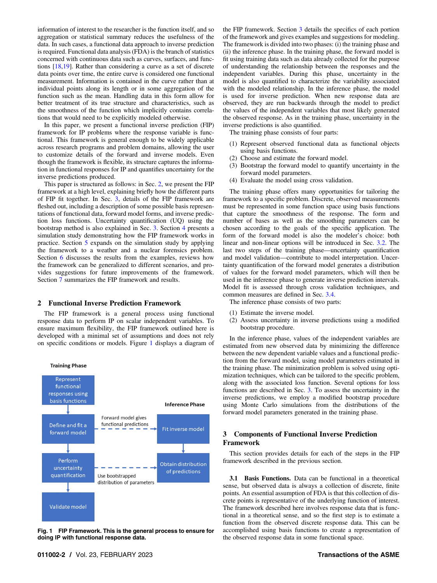information of interest to the researcher is the function itself, and so aggregation or statistical summary reduces the usefulness of the data. In such cases, a functional data approach to inverse prediction is required. Functional data analysis (FDA) is the branch of statistics concerned with continuous data such as curves, surfaces, and functions [\[18](#page-10-0),[19\]](#page-10-0). Rather than considering a curve as a set of discrete data points over time, the entire curve is considered one functional measurement. Information is contained in the curve rather than at individual points along its length or in some aggregation of the function such as the mean. Handling data in this form allow for better treatment of its true structure and characteristics, such as the smoothness of the function which implicitly contains correlations that would need to be explicitly modeled otherwise.

In this paper, we present a functional inverse prediction (FIP) framework for IP problems where the response variable is functional. This framework is general enough to be widely applicable across research programs and problem domains, allowing the user to customize details of the forward and inverse models. Even though the framework is flexible, its structure captures the information in functional responses for IP and quantifies uncertainty for the inverse predictions produced.

This paper is structured as follows: in Sec. 2, we present the FIP framework at a high level, explaining briefly how the different parts of FIP fit together. In Sec. 3, details of the FIP framework are fleshed out, including a description of some possible basis representations of functional data, forward model forms, and inverse prediction loss functions. Uncertainty quantification (UQ) using the bootstrap method is also explained in Sec. 3. Section [4](#page-3-0) presents a simulation study demonstrating how the FIP framework works in practice. Section [5](#page-5-0) expands on the simulation study by applying the framework to a weather and a nuclear forensics problem. Section [6](#page-8-0) discusses the results from the examples, reviews how the framework can be generalized to different scenarios, and provides suggestions for future improvements of the framework. Section [7](#page-8-0) summarizes the FIP framework and results.

### 2 Functional Inverse Prediction Framework

The FIP framework is a general process using functional response data to perform IP on scalar independent variables. To ensure maximum flexibility, the FIP framework outlined here is developed with a minimal set of assumptions and does not rely on specific conditions or models. Figure 1 displays a diagram of



Fig. 1 FIP Framework. This is the general process to ensure for doing IP with functional response data.

the FIP framework. Section 3 details the specifics of each portion of the framework and gives examples and suggestions for modeling. The framework is divided into two phases: (i) the training phase and (ii) the inference phase. In the training phase, the forward model is fit using training data such as data already collected for the purpose of understanding the relationship between the responses and the independent variables. During this phase, uncertainty in the model is also quantified to characterize the variability associated with the modeled relationship. In the inference phase, the model is used for inverse prediction. When new response data are observed, they are run backwards through the model to predict the values of the independent variables that most likely generated the observed response. As in the training phase, uncertainty in the inverse predictions is also quantified.

The training phase consists of four parts:

- (1) Represent observed functional data as functional objects using basis functions.
- (2) Choose and estimate the forward model.
- (3) Bootstrap the forward model to quantify uncertainty in the forward model parameters.
- (4) Evaluate the model using cross validation.

The training phase offers many opportunities for tailoring the framework to a specific problem. Discrete, observed measurements must be represented in some function space using basis functions that capture the smoothness of the response. The form and number of bases as well as the smoothing parameters can be chosen according to the goals of the specific application. The form of the forward model is also the modeler's choice: both linear and non-linear options will be introduced in Sec. [3.2](#page-2-0). The last two steps of the training phase—uncertainty quantification and model validation—contribute to model interpretation. Uncertainty quantification of the forward model generates a distribution of values for the forward model parameters, which will then be used in the inference phase to generate inverse prediction intervals. Model fit is assessed through cross validation techniques, and common measures are defined in Sec. [3.4.](#page-3-0)

The inference phase consists of two parts:

- (1) Estimate the inverse model.
- (2) Assess uncertainty in inverse predictions using a modified bootstrap procedure.

In the inference phase, values of the independent variables are estimated from new observed data by minimizing the difference between the new dependent variable values and a functional prediction from the forward model, using model parameters estimated in the training phase. The minimization problem is solved using optimization techniques, which can be tailored to the specific problem, along with the associated loss function. Several options for loss functions are described in Sec. 3. To assess the uncertainty in the inverse predictions, we employ a modified bootstrap procedure using Monte Carlo simulations from the distributions of the forward model parameters generated in the training phase.

### 3 Components of Functional Inverse Prediction Framework

This section provides details for each of the steps in the FIP framework described in the previous section.

3.1 Basis Functions. Data can be functional in a theoretical sense, but observed data is always a collection of discrete, finite points. An essential assumption of FDA is that this collection of discrete points is representative of the underlying function of interest. The framework described here involves response data that is functional in a theoretical sense, and so the first step is to estimate a function from the observed discrete response data. This can be accomplished using basis functions to create a representation of the observed response data in some functional space.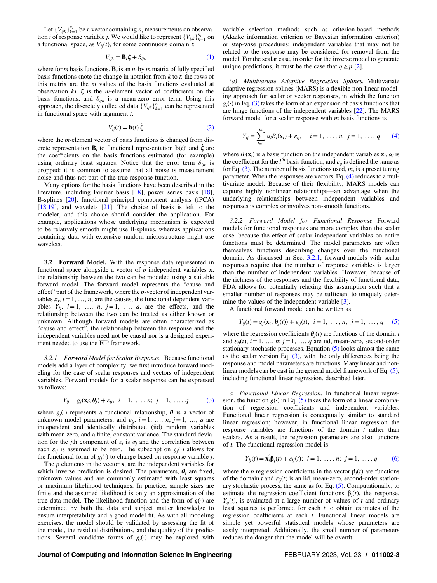<span id="page-2-0"></span>Let  $\{V_{ijk}\}_{k=1}^{n_i}$  be a vector containing  $n_i$  measurements on observation *i* of response variable *j*. We would like to represent  $\{V_{ijk}\}_{k=1}^{n_i}$  on a functional space, as  $V_{ij}(t)$ , for some continuous domain t:

$$
V_{ijk} = \mathbf{B}_t \boldsymbol{\zeta} + \delta_{ijk} \tag{1}
$$

where for *m* basis functions,  $\mathbf{B}_t$  is an  $n_i$  by *m* matrix of fully specified basis functions (note the change in notation from  $k$  to  $t$ : the rows of this matrix are the  $m$  values of the basis functions evaluated at observation  $k$ ),  $\zeta$  is the *m*-element vector of coefficients on the basis functions, and  $\delta_{ijk}$  is a mean-zero error term. Using this approach, the discretely collected data  $\{V_{ijk}\}_{k=1}^{n_i}$  can be represented in functional space with argument  $t$ :

$$
V_{ij}(t) = \mathbf{b}(t)^{2} \hat{\boldsymbol{\zeta}}
$$
 (2)

where the *m*-element vector of basis functions is changed from discrete representation  $\mathbf{B}_t$  to functional representation  $\mathbf{b}(t)$ <sup>'</sup> and  $\hat{\boldsymbol{\zeta}}$  are the coefficients on the basis functions estimated (for example) using ordinary least squares. Notice that the error term  $\delta_{ijk}$  is dropped: it is common to assume that all noise is measurement noise and thus not part of the true response function.

Many options for the basis functions have been described in the literature, including Fourier basis [[18\]](#page-10-0), power series basis [[18\]](#page-10-0), B-splines [\[20](#page-10-0)], functional principal component analysis (fPCA) [[18,19](#page-10-0)], and wavelets [[21\]](#page-10-0). The choice of basis is left to the modeler, and this choice should consider the application. For example, applications whose underlying mechanism is expected to be relatively smooth might use B-splines, whereas applications containing data with extensive random microstructure might use wavelets.

3.2 Forward Model. With the response data represented in functional space alongside a vector of  $p$  independent variables  $x$ , the relationship between the two can be modeled using a suitable forward model. The forward model represents the "cause and effect" part of the framework, where the p-vector of independent variables  $x_i$ ,  $i=1, ..., n$ , are the causes, the functional dependent variables  $Y_{ij}$ ,  $i=1$ , ...,  $n, j=1$ , ...,  $q$ , are the effects, and the relationship between the two can be treated as either known or unknown. Although forward models are often characterized as "cause and effect", the relationship between the response and the independent variables need not be causal nor is a designed experiment needed to use the FIP framework.

3.2.1 Forward Model for Scalar Response. Because functional models add a layer of complexity, we first introduce forward modeling for the case of scalar responses and vectors of independent variables. Forward models for a scalar response can be expressed as follows:

$$
Y_{ij} = g_j(\mathbf{x}_i; \boldsymbol{\theta}_j) + \varepsilon_{ij}, \ \ i = 1, \ \ldots, n; \ \ j = 1, \ \ldots, q
$$
 (3)

where  $g_j(\cdot)$  represents a functional relationship,  $\theta$  is a vector of unknown model parameters, and  $\varepsilon_{ij}$ ,  $i=1, ..., n; j=1, ..., q$  are independent and identically distributed (iid) random variables with mean zero, and a finite, constant variance. The standard deviation for the jth component of  $\varepsilon_i$  is  $\sigma_i$  and the correlation between each  $\varepsilon_{ij}$  is assumed to be zero. The subscript on  $g_j(\cdot)$  allows for the functional form of  $g_i(\cdot)$  to change based on response variable j.

The  $p$  elements in the vector  $\mathbf{x}_i$  are the independent variables for which inverse prediction is desired. The parameters,  $\theta_i$  are fixed, unknown values and are commonly estimated with least squares or maximum likelihood techniques. In practice, sample sizes are finite and the assumed likelihood is only an approximation of the true data model. The likelihood function and the form of  $g(\cdot)$  are determined by both the data and subject matter knowledge to ensure interpretability and a good model fit. As with all modeling exercises, the model should be validated by assessing the fit of the model, the residual distributions, and the quality of the predictions. Several candidate forms of  $g_i(\cdot)$  may be explored with

variable selection methods such as criterion-based methods (Akaike information criterion or Bayesian information criterion) or step-wise procedures: independent variables that may not be related to the response may be considered for removal from the model. For the scalar case, in order for the inverse model to generate unique predictions, it must be the case that  $q \ge p$  [\[2\]](#page-10-0).

(a) Multivariate Adaptive Regression Splines. Multivariate adaptive regression splines (MARS) is a flexible non-linear modeling approach for scalar or vector responses, in which the function  $g_i(\cdot)$  in Eq. (3) takes the form of an expansion of basis functions that are hinge functions of the independent variables [[22\]](#page-10-0). The MARS forward model for a scalar response with  $m$  basis functions is

$$
Y_{ij} = \sum_{l=1}^{m} \alpha_l B_l(\mathbf{x}_i) + \varepsilon_{ij}, \quad i = 1, \dots, n, \ j = 1, \dots, q \tag{4}
$$

where  $B_l(\mathbf{x}_i)$  is a basis function on the independent variables  $\mathbf{x}_i$ ,  $\alpha_l$  is the coefficient for the  $l^{th}$  basis function, and  $\varepsilon_{ij}$  is defined the same as for Eq.  $(3)$ . The number of basis functions used, m, is a preset tuning parameter. When the responses are vectors, Eq. (4) reduces to a multivariate model. Because of their flexibility, MARS models can capture highly nonlinear relationships—an advantage when the underlying relationships between independent variables and responses is complex or involves non-smooth functions.

3.2.2 Forward Model for Functional Response. Forward models for functional responses are more complex than the scalar case, because the effect of scalar independent variables on entire functions must be determined. The model parameters are often themselves functions describing changes over the functional domain. As discussed in Sec. 3.2.1, forward models with scalar responses require that the number of response variables is larger than the number of independent variables. However, because of the richness of the responses and the flexibility of functional data, FDA allows for potentially relaxing this assumption such that a smaller number of responses may be sufficient to uniquely deter-mine the values of the independent variable [[3](#page-10-0)].

A functional forward model can be written as

$$
Y_{ij}(t) = g_j(\mathbf{x}_i; \, \mathbf{\theta}_j(t)) + \varepsilon_{ij}(t); \quad i = 1, \ldots, n; \, j = 1, \ldots, q \quad (5)
$$

where the regression coefficients  $\theta_i(t)$  are functions of the domain t and  $\varepsilon_{ii}(t)$ ,  $i = 1, ..., n$ ;  $j = 1, ..., q$  are iid, mean-zero, second-order stationary stochastic processes. Equation  $(5)$  looks almost the same as the scalar version Eq.  $(3)$ , with the only differences being the response and model parameters are functions. Many linear and nonlinear models can be cast in the general model framework of Eq. (5), including functional linear regression, described later.

a Functional Linear Regression. In functional linear regression, the function  $g(\cdot)$  in Eq. (5) takes the form of a linear combination of regression coefficients and independent variables. Functional linear regression is conceptually similar to standard linear regression; however, in functional linear regression the response variables are functions of the domain  $t$  rather than scalars. As a result, the regression parameters are also functions of  $t$ . The functional regression model is

$$
Y_{ij}(t) = \mathbf{x}'_i \mathbf{\beta}_j(t) + \varepsilon_{ij}(t); i = 1, ..., n; j = 1, ..., q
$$
 (6)

where the *p* regression coefficients in the vector  $\beta_i(t)$  are functions of the domain t and  $\varepsilon_{ii}(t)$  is an iid, mean-zero, second-order stationary stochastic process, the same as for Eq.  $(5)$ . Computationally, to estimate the regression coefficient functions  $\beta_i(t)$ , the response,  $Y_{ii}(t)$ , is evaluated at a large number of values of t and ordinary least squares is performed for each t to obtain estimates of the regression coefficients at each t. Functional linear models are simple yet powerful statistical models whose parameters are easily interpreted. Additionally, the small number of parameters reduces the danger that the model will be overfit.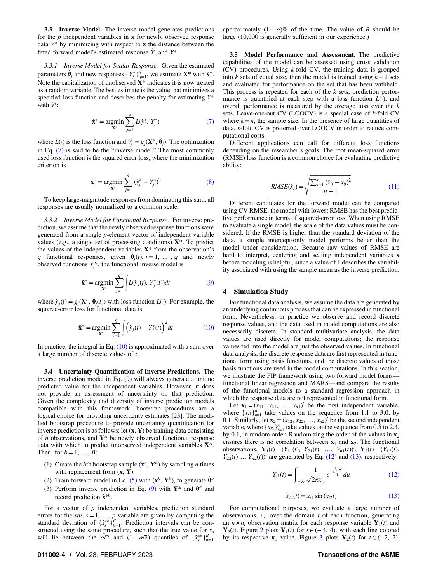<span id="page-3-0"></span>3.3 Inverse Model. The inverse model generates predictions for the  $p$  independent variables in  $x$  for newly observed response data  $Y^*$  by minimizing with respect to  $x$  the distance between the fitted forward model's estimated response  $\hat{Y}$ , and  $Y^*$ .

3.3.1 Inverse Model for Scalar Response. Given the estimated parameters  $\hat{\theta}_j$  and new responses  $\{Y_j^*\}_{j=1}^q$ , we estimate  $\mathbf{X}^*$  with  $\hat{\mathbf{x}}^*$ . Note the capitalization of unobserved  $X^*$  indicates it is now treated as a random variable. The best estimate is the value that minimizes a specified loss function and describes the penalty for estimating  $Y^*$ with  $\hat{v}^*$ :

$$
\hat{\mathbf{x}}^* = \underset{\mathbf{X}^*}{\text{argmin}} \sum_{j=1}^q L(\hat{y}_j^*, Y_j^*)
$$
(7)

where  $L(\cdot)$  is the loss function and  $\hat{y}_j^* = g_j(\mathbf{X}^*; \hat{\theta}_j)$ . The optimization in Eq. (7) is said to be the "inverse model." The most commonly used loss function is the squared error loss, where the minimization criterion is

$$
\hat{\mathbf{x}}^* = \underset{\mathbf{X}^*}{\text{argmin}} \sum_{j=1}^q (\hat{y}_j^* - Y_j^*)^2
$$
 (8)

To keep large-magnitude responses from dominating this sum, all responses are usually normalized to a common scale.

3.3.2 Inverse Model for Functional Response. For inverse prediction, we assume that the newly observed response functions were generated from a single p-element vector of independent variable values (e.g., a single set of processing conditions)  $X^*$ . To predict the values of the independent variables  $X^*$  from the observation's q functional responses, given  $\hat{\theta}_j(t)$ ,  $j = 1, ..., q$  and newly observed functions  $Y_i^*$ , the functional inverse model is

$$
\hat{\mathbf{x}}^* = \underset{\mathbf{X}^*}{\text{argmin}} \sum_{j=1}^q \int L(\hat{\mathbf{y}}_j(t), Y_j^*(t)) dt
$$
\n(9)

where  $\hat{y}_j(t) = g_j(\mathbf{X}^*, \hat{\theta}_j(t))$  with loss function  $L(\cdot)$ . For example, the squared-error loss for functional data is

$$
\hat{\mathbf{x}}^* = \underset{\mathbf{X}^*}{\text{argmin}} \sum_{j=1}^q \int \left(\hat{y}_j(t) - Y_j^*(t)\right)^2 dt \tag{10}
$$

In practice, the integral in Eq.  $(10)$  is approximated with a sum over a large number of discrete values of t.

3.4 Uncertainty Quantification of Inverse Predictions. The inverse prediction model in Eq. (9) will always generate a unique predicted value for the independent variables. However, it does not provide an assessment of uncertainty on that prediction. Given the complexity and diversity of inverse prediction models compatible with this framework, bootstrap procedures are a logical choice for providing uncertainty estimates [\[23](#page-10-0)]. The modified bootstrap procedure to provide uncertainty quantification for inverse prediction is as follows: let  $(x, Y)$  be training data consisting of *n* observations, and  $Y^*$  be newly observed functional response data with which to predict unobserved independent variables X\*. Then, for  $b=1, ..., B$ :

- (1) Create the bth bootstrap sample  $(\mathbf{x}^b, \mathbf{Y}^b)$  by sampling *n* times with replacement from  $(x, Y)$ ,
- (2) Train forward model in Eq. [\(5\)](#page-2-0) with  $(\mathbf{x}^b, \mathbf{Y}^b)$ , to generate  $\hat{\boldsymbol{\theta}}^b$
- (3) Perform inverse prediction in Eq. (9) with  $Y^*$  and  $\hat{\theta}^b$  and record prediction  $\hat{\mathbf{x}}^{*b}$ .

For a vector of  $p$  independent variables, prediction standard errors for the *sth*,  $s = 1, ..., p$  variable are given by computing the standard deviation of  $\{x_s^*b\}_{b=1}^B$ . Prediction intervals can be constructed using the same procedure, such that the true value for  $x_s$ will lie between the  $\alpha/2$  and  $(1 - \alpha/2)$  quantiles of  $\{x_s^{*b}\}_{b=1}^B$ 

approximately  $(1 - \alpha)\%$  of the time. The value of B should be large (10,000 is generally sufficient in our experience.)

3.5 Model Performance and Assessment. The predictive capabilities of the model can be assessed using cross validation (CV) procedures. Using k-fold CV, the training data is grouped into k sets of equal size, then the model is trained using  $k-1$  sets and evaluated for performance on the set that has been withheld. This process is repeated for each of the  $k$  sets, prediction performance is quantified at each step with a loss function  $L(\cdot)$ , and overall performance is measured by the average loss over the  $k$ sets. Leave-one-out CV (LOOCV) is a special case of  $k$ -fold CV where  $k=n$ , the sample size. In the presence of large quantities of data, k-fold CV is preferred over LOOCV in order to reduce computational costs.

Different applications can call for different loss functions depending on the researcher's goals. The root mean-squared error (RMSE) loss function is a common choice for evaluating predictive ability:

$$
RMSE(\hat{x}_s) = \sqrt{\frac{\sum_{i=1}^{n} (\hat{x}_{ij} - x_{ij})^2}{n-1}}
$$
(11)

Different candidates for the forward model can be compared using CV RMSE: the model with lowest RMSE has the best predictive performance in terms of squared-error loss. When using RMSE to evaluate a single model, the scale of the data values must be considered. If the RMSE is higher than the standard deviation of the data, a simple intercept-only model performs better than the model under consideration. Because raw values of RMSE are hard to interpret, centering and scaling independent variables x before modeling is helpful, since a value of 1 describes the variability associated with using the sample mean as the inverse prediction.

### 4 Simulation Study

For functional data analysis, we assume the data are generated by an underlying continuous process that can be expressed in functional form. Nevertheless, in practice we observe and record discrete response values, and the data used in model computations are also necessarily discrete. In standard multivariate analysis, the data values are used directly for model computations; the response values fed into the model are just the observed values. In functional data analysis, the discrete response data are first represented in functional form using basis functions, and the discrete values of those basis functions are used in the model computations. In this section, we illustrate the FIP framework using two forward model forms functional linear regression and MARS—and compare the results of the functional models to a standard regression approach in which the response data are not represented in functional form.

Let  $\mathbf{x}_1 = (x_{11}, x_{21}, \dots, x_{n1})'$  be the first independent variable, where  $\{x_{i1}\}_{i=1}^n$  take values on the sequence from 1.1 to 3.0, by 0.1. Similarly, let  $\mathbf{x}_2 = (x_{12}, x_{22}, \dots, x_{n2})'$  be the second independent variable, where  $\{x_{i2}\}_{i=1}^n$  take values on the sequence from 0.5 to 2.4, by 0.1, in random order. Randomizing the order of the values in  $x_2$ ensures there is no correlation between  $x_1$  and  $x_2$ . The functional observations,  $\mathbf{Y}_1(t) = (Y_{11}(t), Y_{21}(t), ..., Y_{n1}(t))', \mathbf{Y}_2(t) = (Y_{12}(t),$  $Y_{22}(t)..., Y_{n2}(t)$ <sup>'</sup> are generated by Eq. (12) and (13), respectively,

$$
Y_{i1}(t) = \int_{-\infty}^{t} \frac{1}{\sqrt{2\pi}x_{i1}} e^{-\frac{1}{2x_{i1}^2}u^2} du
$$
 (12)

$$
Y_{i2}(t) = x_{i1} \sin(x_{i2}t)
$$
 (13)

For computational purposes, we evaluate a large number of observations,  $n_t$ , over the domain t of each function, generating an  $n \times n_t$  observation matrix for each response variable  $Y_1(t)$  and  $Y_2(t)$  $Y_2(t)$  $Y_2(t)$ . Figure 2 plots  $Y_1(t)$  for  $t \in (-4, 4)$ , with each line colored by its respective  $\mathbf{x}_1$  value. Figure [3](#page-4-0) plots  $\mathbf{Y}_2(t)$  for  $t \in (-2, 2)$ ,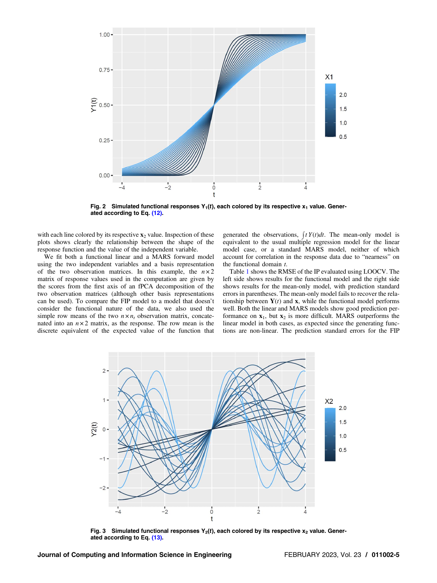<span id="page-4-0"></span>

Fig. 2 Simulated functional responses  $Y_1(t)$ , each colored by its respective  $x_1$  value. Generated according to Eq. [\(12\)](#page-3-0).

with each line colored by its respective  $x_2$  value. Inspection of these plots shows clearly the relationship between the shape of the response function and the value of the independent variable.

We fit both a functional linear and a MARS forward model using the two independent variables and a basis representation of the two observation matrices. In this example, the  $n \times 2$ matrix of response values used in the computation are given by the scores from the first axis of an fPCA decomposition of the two observation matrices (although other basis representations can be used). To compare the FIP model to a model that doesn't consider the functional nature of the data, we also used the simple row means of the two  $n \times n_t$  observation matrix, concatenated into an  $n \times 2$  matrix, as the response. The row mean is the discrete equivalent of the expected value of the function that

generated the observations,  $\int t Y(t) dt$ . The mean-only model is equivalent to the usual multiple regression model for the linear model case, or a standard MARS model, neither of which account for correlation in the response data due to "nearness" on the functional domain  $t$ .

Table [1](#page-5-0) shows the RMSE of the IP evaluated using LOOCV. The left side shows results for the functional model and the right side shows results for the mean-only model, with prediction standard errors in parentheses. The mean-only model fails to recover the relationship between  $Y(t)$  and x, while the functional model performs well. Both the linear and MARS models show good prediction performance on  $x_1$ , but  $x_2$  is more difficult. MARS outperforms the linear model in both cases, as expected since the generating functions are non-linear. The prediction standard errors for the FIP



Fig. 3 Simulated functional responses  $Y_2(t)$ , each colored by its respective  $x_2$  value. Generated according to Eq. [\(13\)](#page-3-0).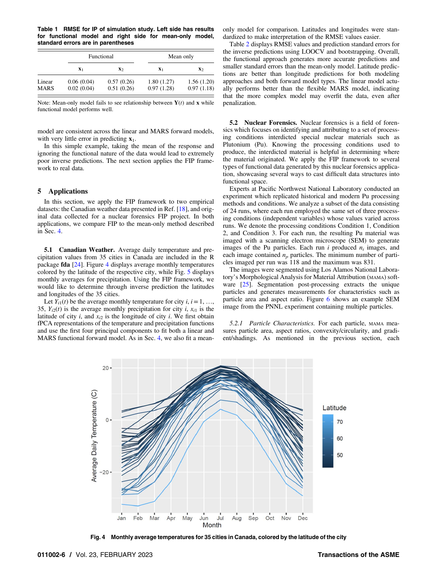<span id="page-5-0"></span>Table 1 RMSE for IP of simulation study. Left side has results for functional model and right side for mean-only model, standard errors are in parentheses

|                       | Functional               |                          | Mean only                |                          |
|-----------------------|--------------------------|--------------------------|--------------------------|--------------------------|
|                       | $\mathbf{X}_1$           | $\mathbf{x}_2$           | $\mathbf{X}_1$           | $\mathbf{x}_2$           |
| Linear<br><b>MARS</b> | 0.06(0.04)<br>0.02(0.04) | 0.57(0.26)<br>0.51(0.26) | 1.80(1.27)<br>0.97(1.28) | 1.56(1.20)<br>0.97(1.18) |

Note: Mean-only model fails to see relationship between  $Y(t)$  and x while functional model performs well.

model are consistent across the linear and MARS forward models, with very little error in predicting  $x_1$ .

In this simple example, taking the mean of the response and ignoring the functional nature of the data would lead to extremely poor inverse predictions. The next section applies the FIP framework to real data.

### 5 Applications

In this section, we apply the FIP framework to two empirical datasets: the Canadian weather data presented in Ref. [[18\]](#page-10-0), and original data collected for a nuclear forensics FIP project. In both applications, we compare FIP to the mean-only method described in Sec. [4.](#page-3-0)

5.1 Canadian Weather. Average daily temperature and precipitation values from 35 cities in Canada are included in the R package fda [[24\]](#page-10-0). Figure 4 displays average monthly temperatures colored by the latitude of the respective city, while Fig. [5](#page-6-0) displays monthly averages for precipitation. Using the FIP framework, we would like to determine through inverse prediction the latitudes and longitudes of the 35 cities.

Let  $Y_{i1}(t)$  be the average monthly temperature for city i,  $i=1, \ldots$ , 35,  $Y_{i2}(t)$  is the average monthly precipitation for city i,  $x_{i1}$  is the latitude of city i, and  $x_{i2}$  is the longitude of city i. We first obtain fPCA representations of the temperature and precipitation functions and use the first four principal components to fit both a linear and MARS functional forward model. As in Sec. [4](#page-3-0), we also fit a meanonly model for comparison. Latitudes and longitudes were standardized to make interpretation of the RMSE values easier.

Table [2](#page-6-0) displays RMSE values and prediction standard errors for the inverse predictions using LOOCV and bootstrapping. Overall, the functional approach generates more accurate predictions and smaller standard errors than the mean-only model. Latitude predictions are better than longitude predictions for both modeling approaches and both forward model types. The linear model actually performs better than the flexible MARS model, indicating that the more complex model may overfit the data, even after penalization.

5.2 Nuclear Forensics. Nuclear forensics is a field of forensics which focuses on identifying and attributing to a set of processing conditions interdicted special nuclear materials such as Plutonium (Pu). Knowing the processing conditions used to produce, the interdicted material is helpful in determining where the material originated. We apply the FIP framework to several types of functional data generated by this nuclear forensics application, showcasing several ways to cast difficult data structures into functional space.

Experts at Pacific Northwest National Laboratory conducted an experiment which replicated historical and modern Pu processing methods and conditions. We analyze a subset of the data consisting of 24 runs, where each run employed the same set of three processing conditions (independent variables) whose values varied across runs. We denote the processing conditions Condition 1, Condition 2, and Condition 3. For each run, the resulting Pu material was imaged with a scanning electron microscope (SEM) to generate images of the Pu particles. Each run i produced  $n_i$  images, and each image contained  $n_p$  particles. The minimum number of particles imaged per run was 118 and the maximum was 831.

The images were segmented using Los Alamos National Laboratory's Morphological Analysis for Material Attribution (MAMA) soft-ware [\[25](#page-10-0)]. Segmentation post-processing extracts the unique particles and generates measurements for characteristics such as particle area and aspect ratio. Figure [6](#page-6-0) shows an example SEM image from the PNNL experiment containing multiple particles.

5.2.1 Particle Characteristics. For each particle, MAMA measures particle area, aspect ratios, convexity/circularity, and gradient/shadings. As mentioned in the previous section, each



Fig. 4 Monthly average temperatures for 35 cities in Canada, colored by the latitude of the city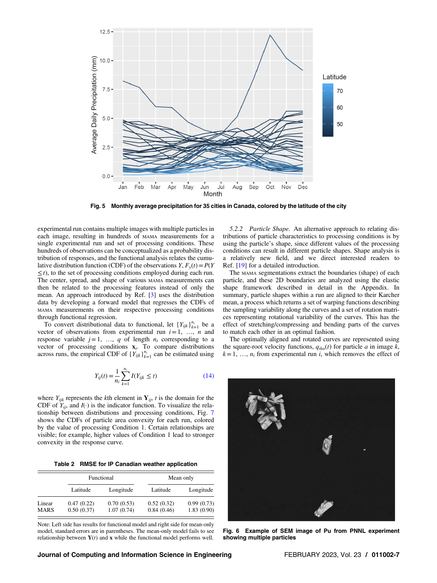<span id="page-6-0"></span>

Fig. 5 Monthly average precipitation for 35 cities in Canada, colored by the latitude of the city

experimental run contains multiple images with multiple particles in each image, resulting in hundreds of MAMA measurements for a single experimental run and set of processing conditions. These hundreds of observations can be conceptualized as a probability distribution of responses, and the functional analysis relates the cumulative distribution function (CDF) of the observations  $Y, F_y(t) = P(Y)$  $\leq t$ ), to the set of processing conditions employed during each run. The center, spread, and shape of various MAMA measurements can then be related to the processing features instead of only the mean. An approach introduced by Ref. [[3](#page-10-0)] uses the distribution data by developing a forward model that regresses the CDFs of MAMA measurements on their respective processing conditions through functional regression.

To convert distributional data to functional, let  ${Y_{ijk}}_{k=1}^{n_i}$  be a vector of observations from experimental run  $i=1, \ldots, n$  and response variable  $j=1, \ldots, q$  of length  $n_i$  corresponding to a vector of processing conditions  $x_i$ . To compare distributions across runs, the empirical CDF of  ${Y_{ijk}}_{k=1}^{n_i}$  can be estimated using

$$
Y_{ij}(t) = \frac{1}{n_i} \sum_{k=1}^{n_i} I(Y_{ijk} \le t)
$$
 (14)

where  $Y_{ijk}$  represents the kth element in  $Y_{ij}$ , t is the domain for the CDF of  $Y_{ii}$ , and  $I(\cdot)$  is the indicator function. To visualize the relationship between distributions and processing conditions, Fig. [7](#page-7-0) shows the CDFs of particle area convexity for each run, colored by the value of processing Condition 1. Certain relationships are visible; for example, higher values of Condition 1 lead to stronger convexity in the response curve.

Table 2 RMSE for IP Canadian weather application

|                       | Functional               |                          | Mean only                |                          |
|-----------------------|--------------------------|--------------------------|--------------------------|--------------------------|
|                       | Latitude                 | Longitude                | Latitude                 | Longitude                |
| Linear<br><b>MARS</b> | 0.47(0.22)<br>0.50(0.37) | 0.70(0.53)<br>1.07(0.74) | 0.52(0.32)<br>0.84(0.46) | 0.99(0.73)<br>1.83(0.90) |

Note: Left side has results for functional model and right side for mean-only model, standard errors are in parentheses. The mean-only model fails to see relationship between  $Y(t)$  and x while the functional model performs well.

5.2.2 Particle Shape. An alternative approach to relating distributions of particle characteristics to processing conditions is by using the particle's shape, since different values of the processing conditions can result in different particle shapes. Shape analysis is a relatively new field, and we direct interested readers to Ref. [[19\]](#page-10-0) for a detailed introduction.

The MAMA segmentations extract the boundaries (shape) of each particle, and these 2D boundaries are analyzed using the elastic shape framework described in detail in the Appendix. In summary, particle shapes within a run are aligned to their Karcher mean, a process which returns a set of warping functions describing the sampling variability along the curves and a set of rotation matrices representing rotational variability of the curves. This has the effect of stretching/compressing and bending parts of the curves to match each other in an optimal fashion.

The optimally aligned and rotated curves are represented using the square-root velocity functions,  $q_{ik}$ (t) for particle a in image k,  $k=1, \ldots, n_i$  from experimental run i, which removes the effect of



Fig. 6 Example of SEM image of Pu from PNNL experiment showing multiple particles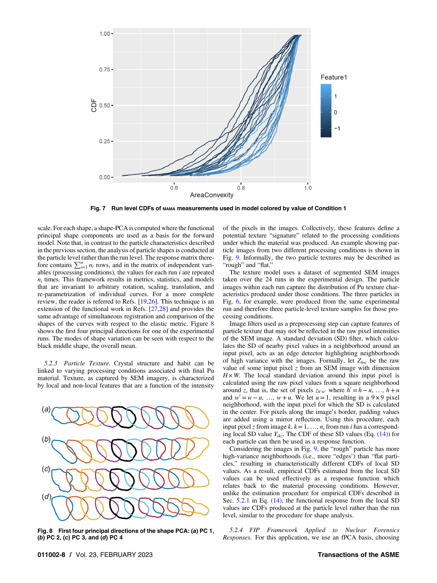<span id="page-7-0"></span>

Fig. 7 Run level CDFs of MAMA measurements used in model colored by value of Condition 1

scale. For each shape, a shape-PCA is computed where the functional principal shape components are used as a basis for the forward model. Note that, in contrast to the particle characteristics described in the previous section, the analysis of particle shapes is conducted at the particle level rather than the run level. The response matrix therefore contains  $\sum_{i=1}^{n} n_i$  rows, and in the matrix of independent variables (processing conditions), the values for each run  $i$  are repeated  $n_i$  times. This framework results in metrics, statistics, and models that are invariant to arbitrary rotation, scaling, translation, and re-parametrization of individual curves. For a more complete review, the reader is referred to Refs. [[19,26\]](#page-10-0). This technique is an extension of the functional work in Refs. [\[27,28](#page-10-0)] and provides the same advantage of simultaneous registration and comparison of the shapes of the curves with respect to the elastic metric. Figure 8 shows the first four principal directions for one of the experimental runs. The modes of shape variation can be seen with respect to the black middle shape, the overall mean.

5.2.3 Particle Texture. Crystal structure and habit can be linked to varying processing conditions associated with final Pu material. Texture, as captured by SEM imagery, is characterized by local and non-local features that are a function of the intensity



Fig. 8 First four principal directions of the shape PCA: (a) PC 1, (b) PC 2, (c) PC 3, and (d) PC 4

of the pixels in the images. Collectively, these features define a potential texture "signature" related to the processing conditions under which the material was produced. An example showing particle images from two different processing conditions is shown in Fig. [9](#page-8-0). Informally, the two particle textures may be described as "rough" and "flat."

The texture model uses a dataset of segmented SEM images taken over the 24 runs in the experimental design. The particle images within each run capture the distribution of Pu texture characteristics produced under those conditions. The three particles in Fig. [6](#page-6-0), for example, were produced from the same experimental run and therefore three particle-level texture samples for those processing conditions.

Image filters used as a preprocessing step can capture features of particle texture that may not be reflected in the raw pixel intensities of the SEM image. A standard deviation (SD) filter, which calculates the SD of nearby pixel values in a neighborhood around an input pixel, acts as an edge detector highlighting neighborhoods of high variance with the images. Formally, let  $Z_{hw}$  be the raw value of some input pixel  $z$  from an SEM image with dimension  $H \times W$ . The local standard deviation around this input pixel is calculated using the raw pixel values from a square neighborhood around z, that is, the set of pixels  $z_{h'w'}$  where  $h' = h - u, ..., h + u$ and  $w' = w - u$ , …,  $w + u$ . We let  $u = 1$ , resulting in a 9 × 9 pixel neighborhood, with the input pixel for which the SD is calculated in the center. For pixels along the image's border, padding values are added using a mirror reflection. Using this procedure, each input pixel z from image k,  $k=1, ..., n_i$  from run i has a corresponding local SD value  $Y_{ikz}$ . The CDF of these SD values (Eq. [\(14\)](#page-6-0)) for each particle can then be used as a response function.

Considering the images in Fig. [9,](#page-8-0) the "rough" particle has more high-variance neighborhoods (i.e., more "edges') than "flat particles," resulting in characteristically different CDFs of local SD values. As a result, empirical CDFs estimated from the local SD values can be used effectively as a response function which relates back to the material processing conditions. However, unlike the estimation procedure for empirical CDFs described in Sec. [5.2.1](#page-5-0) in Eq. [\(14\)](#page-6-0), the functional response from the local SD values are CDFs produced at the particle level rather than the run level, similar to the procedure for shape analysis.

5.2.4 FIP Framework Applied to Nuclear Forensics Responses. For this application, we use an fPCA basis, choosing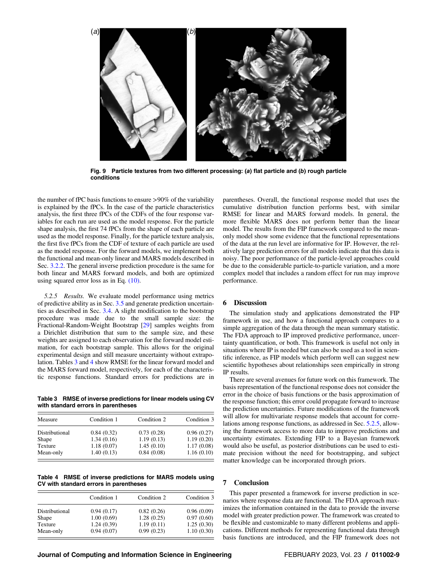<span id="page-8-0"></span>

Fig. 9 Particle textures from two different processing: (a) flat particle and (b) rough particle conditions

the number of fPC basis functions to ensure >90% of the variability is explained by the fPCs. In the case of the particle characteristics analysis, the first three fPCs of the CDFs of the four response variables for each run are used as the model response. For the particle shape analysis, the first 74 fPCs from the shape of each particle are used as the model response. Finally, for the particle texture analysis, the first five fPCs from the CDF of texture of each particle are used as the model response. For the forward models, we implement both the functional and mean-only linear and MARS models described in Sec. [3.2.2](#page-2-0). The general inverse prediction procedure is the same for both linear and MARS forward models, and both are optimized using squared error loss as in Eq. [\(10\)](#page-3-0).

5.2.5 Results. We evaluate model performance using metrics of predictive ability as in Sec. [3.5](#page-3-0) and generate prediction uncertainties as described in Sec. [3.4.](#page-3-0) A slight modification to the bootstrap procedure was made due to the small sample size: the Fractional-Random-Weight Bootstrap [\[29](#page-10-0)] samples weights from a Dirichlet distribution that sum to the sample size, and these weights are assigned to each observation for the forward model estimation, for each bootstrap sample. This allows for the original experimental design and still measure uncertainty without extrapolation. Tables 3 and 4 show RMSE for the linear forward model and the MARS forward model, respectively, for each of the characteristic response functions. Standard errors for predictions are in

Table 3 RMSE of inverse predictions for linear models using CV with standard errors in parentheses

| Measure        | Condition 1 | Condition 2 | Condition 3 |
|----------------|-------------|-------------|-------------|
| Distributional | 0.84(0.32)  | 0.73(0.28)  | 0.96(0.27)  |
| Shape          | 1.34(0.16)  | 1.19(0.13)  | 1.19(0.20)  |
| Texture        | 1.18(0.07)  | 1.45(0.10)  | 1.17(0.08)  |
| Mean-only      | 1.40(0.13)  | 0.84(0.08)  | 1.16(0.10)  |

Table 4 RMSE of inverse predictions for MARS models using CV with standard errors in parentheses

|                | Condition 1 | Condition 2 | Condition 3 |
|----------------|-------------|-------------|-------------|
| Distributional | 0.94(0.17)  | 0.82(0.26)  | 0.96(0.09)  |
| Shape          | 1.00(0.69)  | 1.28(0.25)  | 0.97(0.60)  |
| Texture        | 1.24(0.39)  | 1.19(0.11)  | 1.25(0.30)  |
| Mean-only      | 0.94(0.07)  | 0.99(0.23)  | 1.10(0.30)  |

parentheses. Overall, the functional response model that uses the cumulative distribution function performs best, with similar RMSE for linear and MARS forward models. In general, the more flexible MARS does not perform better than the linear model. The results from the FIP framework compared to the meanonly model show some evidence that the functional representations of the data at the run level are informative for IP. However, the relatively large prediction errors for all models indicate that this data is noisy. The poor performance of the particle-level approaches could be due to the considerable particle-to-particle variation, and a more complex model that includes a random effect for run may improve performance.

### 6 Discussion

The simulation study and applications demonstrated the FIP framework in use, and how a functional approach compares to a simple aggregation of the data through the mean summary statistic. The FDA approach to IP improved predictive performance, uncertainty quantification, or both. This framework is useful not only in situations where IP is needed but can also be used as a tool in scientific inference, as FIP models which perform well can suggest new scientific hypotheses about relationships seen empirically in strong IP results.

There are several avenues for future work on this framework. The basis representation of the functional response does not consider the error in the choice of basis functions or the basis approximation of the response function; this error could propagate forward to increase the prediction uncertainties. Future modifications of the framework will allow for multivariate response models that account for correlations among response functions, as addressed in Sec. 5.2.5, allowing the framework access to more data to improve predictions and uncertainty estimates. Extending FIP to a Bayesian framework would also be useful, as posterior distributions can be used to estimate precision without the need for bootstrapping, and subject matter knowledge can be incorporated through priors.

### 7 Conclusion

This paper presented a framework for inverse prediction in scenarios where response data are functional. The FDA approach maximizes the information contained in the data to provide the inverse model with greater prediction power. The framework was created to be flexible and customizable to many different problems and applications. Different methods for representing functional data through basis functions are introduced, and the FIP framework does not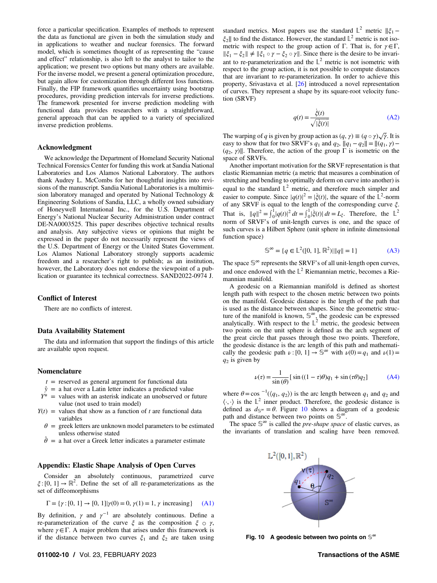force a particular specification. Examples of methods to represent the data as functional are given in both the simulation study and in applications to weather and nuclear forensics. The forward model, which is sometimes thought of as representing the "cause and effect" relationship, is also left to the analyst to tailor to the application; we present two options but many others are available. For the inverse model, we present a general optimization procedure, but again allow for customization through different loss functions. Finally, the FIP framework quantifies uncertainty using bootstrap procedures, providing prediction intervals for inverse predictions. The framework presented for inverse prediction modeling with functional data provides researchers with a straightforward, general approach that can be applied to a variety of specialized inverse prediction problems.

### Acknowledgment

We acknowledge the Department of Homeland Security National Technical Forensics Center for funding this work at Sandia National Laboratories and Los Alamos National Laboratory. The authors thank Audrey L. McCombs for her thoughtful insights into revisions of the manuscript. Sandia National Laboratories is a multimission laboratory managed and operated by National Technology & Engineering Solutions of Sandia, LLC, a wholly owned subsidiary of Honeywell International Inc., for the U.S. Department of Energy's National Nuclear Security Administration under contract DE-NA0003525. This paper describes objective technical results and analysis. Any subjective views or opinions that might be expressed in the paper do not necessarily represent the views of the U.S. Department of Energy or the United States Government. Los Alamos National Laboratory strongly supports academic freedom and a researcher's right to publish; as an institution, however, the Laboratory does not endorse the viewpoint of a publication or guarantee its technical correctness. SAND2022-0974 J.

### Conflict of Interest

There are no conflicts of interest.

### Data Availability Statement

The data and information that support the findings of this article are available upon request.

### Nomenclature

- $t =$  reserved as general argument for functional data
- $\hat{y}$  = a hat over a Latin letter indicates a predicted value
- $Y^*$  = values with an asterisk indicate an unobserved or future value (not used to train model)
- $Y(t)$  = values that show as a function of t are functional data variables
	- $\theta$  = greek letters are unknown model parameters to be estimated unless otherwise stated<br>  $\hat{\theta} =$  a hat over a Greek letter indicates a parameter estimate
	-

### Appendix: Elastic Shape Analysis of Open Curves

Consider an absolutely continuous, parametrized curve  $\xi$ : [0, 1]  $\rightarrow \mathbb{R}^2$ . Define the set of all re-parameterizations as the set of diffeomorphisms

$$
\Gamma = \{ \gamma : [0, 1] \to [0, 1] | \gamma(0) = 0, \gamma(1) = 1, \gamma \text{ increasing } \} \tag{A1}
$$

By definition,  $\gamma$  and  $\gamma^{-1}$  are absolutely continuous. Define a re-parameterization of the curve  $\xi$  as the composition  $\xi \circ \gamma$ , where  $\gamma \in \Gamma$ . A major problem that arises under this framework is if the distance between two curves  $\xi_1$  and  $\xi_2$  are taken using

standard metrics. Most papers use the standard  $\mathbb{L}^2$  metric  $\|\xi_1 \xi_2$ || to find the distance. However, the standard  $\mathbb{L}^2$  metric is not isometric with respect to the group action of Γ. That is, for  $\gamma \in \Gamma$ ,  $\|\xi_1 - \xi_2\| \neq \|\xi_1 \circ \gamma - \xi_2 \circ \gamma\|$ . Since there is the desire to be invariant to re-parameterization and the  $\mathbb{L}^2$  metric is not isometric with respect to the group action, it is not possible to compute distances that are invariant to re-parameterization. In order to achieve this property, Srivastava et al. [[26\]](#page-10-0) introduced a novel representation of curves. They represent a shape by its square-root velocity function (SRVF)

$$
q(t) = \frac{\dot{\xi}(t)}{\sqrt{|\dot{\xi}(t)|}}
$$
(A2)

The warping of q is given by group action as  $(q, \gamma) \equiv (q \circ \gamma) \sqrt{\gamma}$ . It is easy to show that for two SRVF's  $q_1$  and  $q_2$ ,  $||q_1 - q_2|| = ||(q_1, \gamma) (q_2, \gamma)$ ]. Therefore, the action of the group  $\Gamma$  is isometric on the space of SRVFs.

Another important motivation for the SRVF representation is that elastic Riemannian metric (a metric that measures a combination of stretching and bending to optimally deform on curve into another) is equal to the standard  $\mathbb{L}^2$  metric, and therefore much simpler and easier to compute. Since  $|q(t)|^2 = |\xi(t)|$ , the square of the  $\mathbb{L}^2$ -norm of any SRVF is equal to the length of the corresponding curve ξ. That is,  $||q||^2 = \int_0^1 |q(t)|^2 dt = \int_0^1 |\dot{\xi}(t)| dt = L_{\xi}$ . Therefore, the  $\mathbb{L}^2$ norm of SRVF's of unit-length curves is one, and the space of such curves is a Hilbert Sphere (unit sphere in infinite dimensional function space)

$$
\mathbb{S}^{\infty} = \{ q \in \mathbb{L}^{2}([0, 1], \mathbb{R}^{2}) | ||q|| = 1 \}
$$
 (A3)

The space  $\mathbb{S}^\infty$  represents the SRVF's of all unit-length open curves, and once endowed with the  $L^2$  Riemannian metric, becomes a Riemannian manifold.

A geodesic on a Riemannian manifold is defined as shortest length path with respect to the chosen metric between two points on the manifold. Geodesic distance is the length of the path that is used as the distance between shapes. Since the geometric structure of the manifold is known,  $\mathbb{S}^{\infty}$ , the geodesic can be expressed analytically. With respect to the  $\mathbb{L}^2$  metric, the geodesic between two points on the unit sphere is defined as the arch segment of the great circle that passes through those two points. Therefore, the geodesic distance is the arc length of this path and mathematically the geodesic path  $\nu$  : [0, 1]  $\rightarrow \mathbb{S}^{\infty}$  with  $\nu(0) = q_1$  and  $\nu(1) =$  $q_2$  is given by

$$
\nu(\tau) = \frac{1}{\sin(\theta)} [\sin((1 - \tau)\theta)q_1 + \sin(\tau\theta)q_2]
$$
 (A4)

where  $\theta = \cos^{-1}(\langle q_1, q_2 \rangle)$  is the arc length between  $q_1$  and  $q_2$  and  $\langle \cdot, \cdot \rangle$  is the  $\mathbb{L}^2$  inner product. Therefore, the geodesic distance is defined as  $d_s \approx = \theta$ . Figure 10 shows a diagram of a geodesic path and distance between two points on  $\mathbb{S}^{\infty}$ .

The space  $\mathbb{S}^{\infty}$  is called the *pre-shape space* of elastic curves, as the invariants of translation and scaling have been removed.



Fig. 10 A geodesic between two points on  $\mathbb{S}^{\infty}$